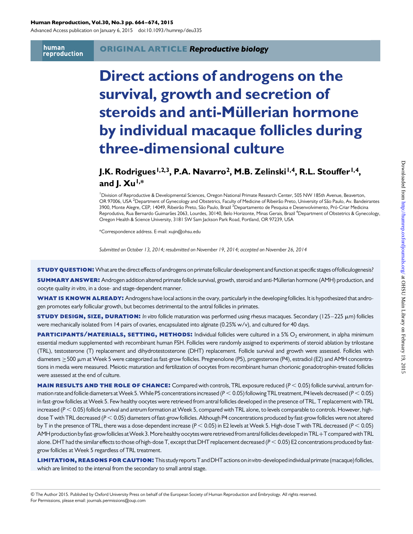#### Human Reproduction, Vol.30, No.3 pp. 664–674, 2015

Advanced Access publication on January 6, 2015 doi:10.1093/humrep/deu335

human reproduction

# Direct actions of androgens on the survival, growth and secretion of steroids and anti-Müllerian hormone by individual macaque follicles during three-dimensional culture

# J.K. Rodrigues<sup>1,2,3</sup>, P.A. Navarro<sup>2</sup>, M.B. Zelinski<sup>1,4</sup>, R.L. Stouffer<sup>1,4</sup>, and  $J. Xu^{1,*}$

<sup>1</sup> Division of Reproductive & Developmental Sciences, Oregon National Primate Research Center, 505 NW 185th Avenue, Beaverton, OR 97006, USA <sup>2</sup>Department of Gynecology and Obstetrics, Faculty of Medicine of Ribeirão Preto, University of São Paulo, Av. Bandeirantes 3900, Monte Alegre, CEP, 14049, Ribeirão Preto, São Paulo, Brazil <sup>3</sup>Departamento de Pesquisa e Desenvolvimento, Pró-Criar Medicina Reprodutiva, Rua Bernardo Guimarães 2063, Lourdes, 30140, Belo Horizonte, Minas Gerais, Brazil <sup>4</sup>Department of Obstetrics & Gynecology, Oregon Health & Science University, 3181 SW Sam Jackson Park Road, Portland, OR 97239, USA

\*Correspondence address. E-mail: xujin@ohsu.edu

Submitted on October 13, 2014; resubmitted on November 19, 2014; accepted on November 26, 2014

study Question: What are the direct effects of androgens on primate follicular development and function at specific stages of folliculogenesis?

SUMMARY ANSWER: Androgen addition altered primate follicle survival, growth, steroid and anti-Müllerian hormone (AMH) production, and oocyte quality in vitro, in a dose- and stage-dependent manner.

WHAT IS KNOWN ALREADY: Androgens have local actions in the ovary, particularly in the developing follicles. It is hypothesized that androgen promotes early follicular growth, but becomes detrimental to the antral follicles in primates.

**STUDY DESIGN, SIZE, DURATION:** In vitro follicle maturation was performed using rhesus macaques. Secondary (125–225 µm) follicles were mechanically isolated from 14 pairs of ovaries, encapsulated into alginate (0.25% w/v), and cultured for 40 days.

**PARTICIPANTS/MATERIALS, SETTING, METHODS:** Individual follicles were cultured in a 5%  $O_2$  environment, in alpha minimum essential medium supplemented with recombinant human FSH. Follicles were randomly assigned to experiments of steroid ablation by trilostane (TRL), testosterone (T) replacement and dihydrotestosterone (DHT) replacement. Follicle survival and growth were assessed. Follicles with diameters ≥500 µm at Week 5 were categorized as fast-grow follicles. Pregnenolone (P5), progesterone (P4), estradiol (E2) and AMH concentrations in media were measured. Meiotic maturation and fertilization of oocytes from recombinant human chorionic gonadotrophin-treated follicles were assessed at the end of culture.

**MAIN RESULTS AND THE ROLE OF CHANCE:** Compared with controls, TRL exposure reduced ( $P < 0.05$ ) follicle survival, antrum formation rate and follicle diameters at Week 5. While P5 concentrations increased ( $P < 0.05$ ) following TRL treatment, P4 levels decreased ( $P < 0.05$ ) in fast-grow follicles atWeek 5. Few healthy oocytes were retrieved from antral follicles developed in the presence of TRL. T replacement with TRL increased ( $P < 0.05$ ) follicle survival and antrum formation at Week 5, compared with TRL alone, to levels comparable to controls. However, highdose T with TRL decreased (P < 0.05) diameters of fast-grow follicles. Although P4 concentrations produced by fast-grow follicles were not altered by T in the presence of TRL, there was a dose-dependent increase ( $P < 0.05$ ) in E2 levels at Week 5. High-dose T with TRL decreased ( $P < 0.05$ ) AMH production byfast-grow follicles atWeek 3.More healthy oocytes were retrieved from antralfollicles developed in TRL+T compared withTRL alone. DHT had the similar effects to those of high-dose T, except that DHT replacement decreased ( $P < 0.05$ ) E2 concentrations produced by fastgrow follicles at Week 5 regardless of TRL treatment.

LIMITATION, REASONS FOR CAUTION: This study reports T and DHT actions on invitro-developed individual primate (macaque) follicles, which are limited to the interval from the secondary to small antral stage.

<sup>&</sup>amp; The Author 2015. Published by Oxford University Press on behalf of the European Society of Human Reproduction and Embryology. All rights reserved. For Permissions, please email: journals.permissions@oup.com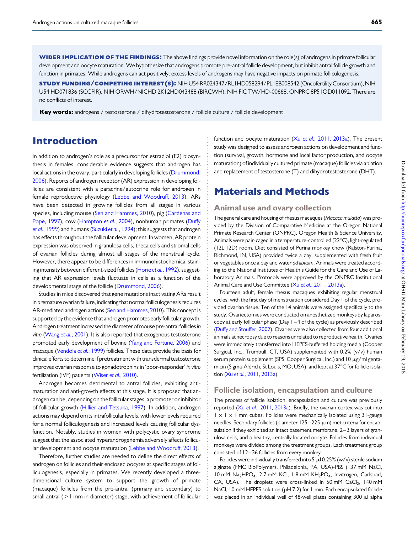WIDER IMPLICATION OF THE FINDINGS: The above findings provide novel information on the role(s) of androgens in primate follicular development and oocyte maturation.We hypothesize that androgens promote pre-antral follicle development, but inhibit antral follicle growth and function in primates. While androgens can act positively, excess levels of androgens may have negative impacts on primate folliculogenesis.

study funding/competing interest(s): NIH U54 RR024347/RL1HD058294/PL1EB008542 (OncofertilityConsortium), NIH U54 HD071836 (SCCPIR), NIH ORWH/NICHD 2K12HD043488 (BIRCWH), NIH FIC TW/HD-00668, ONPRC 8P51OD011092. There are no conflicts of interest.

Key words: androgens / testosterone / dihydrotestosterone / follicle culture / follicle development

### Introduction

In addition to androgen's role as a precursor for estradiol (E2) biosynthesis in females, considerable evidence suggests that androgen has local actions in the ovary, particularly in developing follicles ([Drummond,](#page-9-0) [2006](#page-9-0)). Reports of androgen receptor (AR) expression in developing follicles are consistent with a paracrine/autocrine role for androgen in female reproductive physiology ([Lebbe and Woodruff, 2013\)](#page-10-0). ARs have been detected in growing follicles from all stages in various species, including mouse ([Sen and Hammes, 2010\)](#page-10-0), pig (Cárdenas and [Pope, 1997](#page-9-0)), cow [\(Hampton](#page-10-0) et al., 2004), nonhuman primates [\(Duffy](#page-9-0) et al.[, 1999\)](#page-9-0) and humans ([Suzuki](#page-10-0) et al., 1994); this suggests that androgen has effects throughout the follicular development. In women, AR protein expression was observed in granulosa cells, theca cells and stromal cells of ovarian follicles during almost all stages of the menstrual cycle. However, there appear to be differences in immunohistochemical stain-ing intensity between different-sized follicles (Horie et al.[, 1992\)](#page-10-0), suggesting that AR expression levels fluctuate in cells as a function of the developmental stage of the follicle ([Drummond, 2006\)](#page-9-0).

Studies in mice discovered that gene mutations inactivating ARs result in premature ovarian failure, indicating that normalfolliculogenesis requires AR-mediated androgen actions [\(Sen and Hammes, 2010](#page-10-0)). This concept is supported by the evidence that androgen promotes early follicular growth. Androgen treatment increased the diameter of mouse pre-antral follicles in vitro (Wang et al.[, 2001\)](#page-10-0). It is also reported that exogenous testosterone promoted early development of bovine [\(Yang and Fortune, 2006](#page-10-0)) and macaque [\(Vendola](#page-10-0) et al., 1999) follicles. These data provide the basis for clinical efforts to determine if pretreatment with transdermal testosterone improves ovarian response to gonadotrophins in 'poor-responder' in vitro fertilization (IVF) patients (Wiser et al.[, 2010](#page-10-0)).

Androgen becomes detrimental to antral follicles, exhibiting antimaturation and anti-growth effects at this stage. It is proposed that androgen can be, depending on the follicular stages, a promoter or inhibitor of follicular growth ([Hillier and Tetsuka, 1997\)](#page-10-0). In addition, androgen actions may depend on its intrafollicular levels, with lower levels required for a normal folliculogenesis and increased levels causing follicular dysfunction. Notably, studies in women with polycystic ovary syndrome suggest that the associated hyperandrogenemia adversely affects follicular development and oocyte maturation [\(Lebbe and Woodruff, 2013\)](#page-10-0).

Therefore, further studies are needed to define the direct effects of androgen on follicles and their enclosed oocytes at specific stages of folliculogenesis, especially in primates. We recently developed a threedimensional culture system to support the growth of primate (macaque) follicles from the pre-antral (primary and secondary) to small antral  $(1$  mm in diameter) stage, with achievement of follicular

function and oocyte maturation  $(Xu$  et al.[, 2011,](#page-10-0) [2013a\)](#page-10-0). The present study was designed to assess androgen actions on development and function (survival, growth, hormone and local factor production, and oocyte maturation) of individually cultured primate (macaque) follicles via ablation and replacement of testosterone (T) and dihydrotestosterone (DHT).

### Materials and Methods

### Animal use and ovary collection

The general care and housing of rhesus macaques (Macaca mulatta) was provided by the Division of Comparative Medicine at the Oregon National Primate Research Center (ONPRC), Oregon Health & Science University. Animals were pair-caged in a temperature-controlled ( $22^{\circ}$ C), light-regulated (12L:12D) room. Diet consisted of Purina monkey chow (Ralston-Purina, Richmond, IN, USA) provided twice a day, supplemented with fresh fruit or vegetables once a day and water ad libitum. Animals were treated according to the National Institutes of Health's Guide for the Care and Use of Laboratory Animals. Protocols were approved by the ONPRC Institutional Animal Care and Use Committee (Xu et al.[, 2011,](#page-10-0) [2013a](#page-10-0)).

Fourteen adult, female rhesus macaques exhibiting regular menstrual cycles, with the first day of menstruation considered Day 1 of the cycle, provided ovarian tissue. Ten of the 14 animals were assigned specifically to the study. Ovariectomies were conducted on anesthetized monkeys by laparoscopy at early follicular phase (Day 1 – 4 of the cycle) as previously described [\(Duffy and Stouffer, 2002\)](#page-9-0). Ovaries were also collected from four additional animals at necropsy due to reasons unrelated to reproductive health. Ovaries were immediately transferred into HEPES-buffered holding media (Cooper Surgical, Inc., Trumbull, CT, USA) supplemented with 0.2% (v/v) human serum protein supplement (SPS, Cooper Surgical, Inc.) and 10 µg/ml gentamicin (Sigma-Aldrich, St Louis, MO, USA), and kept at 37°C for follicle isolation (Xu et al.[, 2011,](#page-10-0) [2013a\)](#page-10-0).

### Follicle isolation, encapsulation and culture

The process of follicle isolation, encapsulation and culture was previously reported (Xu et al.[, 2011](#page-10-0), [2013a](#page-10-0)). Briefly, the ovarian cortex was cut into  $1 \times 1 \times 1$  mm cubes. Follicles were mechanically isolated using 31-gauge needles. Secondary follicles (diameter  $125-225 \mu m$ ) met criteria for encapsulation if they exhibited an intact basement membrane, 2-3 layers of granulosa cells, and a healthy, centrally located oocyte. Follicles from individual monkeys were divided among the treatment groups. Each treatment group consisted of 12-36 follicles from every monkey.

Follicles were individually transferred into 5  $\mu$  10.25% (w/v) sterile sodium alginate (FMC BioPolymers, Philadelphia, PA, USA)-PBS (137 mM NaCl, 10 mM Na<sub>2</sub>HPO<sub>4</sub>, 2.7 mM KCl, 1.8 mM KH<sub>2</sub>PO<sub>4</sub>, Invitrogen, Carlsbad, CA, USA). The droplets were cross-linked in 50 mM CaCl<sub>2</sub>, 140 mM NaCl, 10 mM HEPES solution (pH 7.2) for 1 min. Each encapsulated follicle was placed in an individual well of 48-well plates containing 300 µl alpha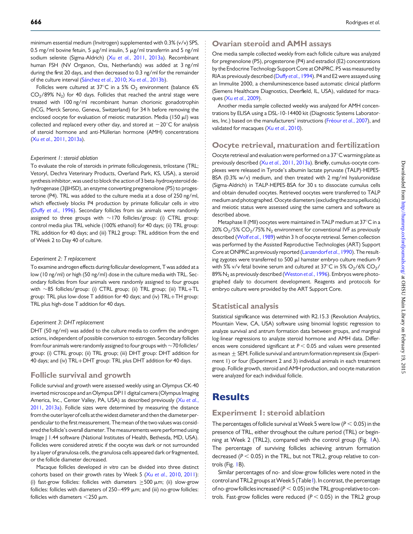minimum essential medium (Invitrogen) supplemented with 0.3% (v/v) SPS, 0.5 mg/ml bovine fetuin, 5  $\mu$ g/ml insulin, 5  $\mu$ g/ml transferrin and 5 ng/ml sodium selenite (Sigma-Aldrich) (Xu et al.[, 2011](#page-10-0), [2013a\)](#page-10-0). Recombinant human FSH (NV Organon, Oss, Netherlands) was added at 3 ng/ml during the first 20 days, and then decreased to 0.3 ng/ml for the remainder of the culture interval (Sánchez et al., 2010; Xu et al.[, 2013b\)](#page-10-0).

Follicles were cultured at 37°C in a 5%  $O_2$  environment (balance 6%  $CO<sub>2</sub>/89%$  N<sub>2</sub>) for 40 days. Follicles that reached the antral stage were treated with 100 ng/ml recombinant human chorionic gonadotrophin (hCG, Merck Serono, Geneva, Switzerland) for 34 h before removing the enclosed oocyte for evaluation of meiotic maturation. Media (150  $\mu$ l) was collected and replaced every other day, and stored at  $-20^{\circ}$ C for analysis of steroid hormone and anti-Müllerian hormone (AMH) concentrations (Xu et al.[, 2011,](#page-10-0) [2013a](#page-10-0)).

#### Experiment 1: steroid ablation

To evaluate the role of steroids in primate folliculogenesis, trilostane (TRL; Vetoryl, Dechra Veterinary Products, Overland Park, KS, USA), a steroid synthesis inhibitor, was used to block the action of 3 beta-hydroxysteroid dehydrogenase (3bHSD), an enzyme converting pregnenolone (P5) to progesterone (P4). TRL was added to the culture media at a dose of 250 ng/ml, which effectively blocks P4 production by primate follicular cells in vitro (Duffy et al.[, 1996\)](#page-9-0). Secondary follicles from six animals were randomly assigned to three groups with  $\sim$  170 follicles/group: (i) CTRL group: control media plus TRL vehicle (100% ethanol) for 40 days; (ii) TRL group: TRL addition for 40 days; and (iii) TRL2 group: TRL addition from the end of Week 2 to Day 40 of culture.

#### Experiment 2: T replacement

To examine androgen effects during follicular development, T was added at a low (10 ng/ml) or high (50 ng/ml) dose in the culture media with TRL. Secondary follicles from four animals were randomly assigned to four groups with  $\sim$  85 follicles/group: (i) CTRL group; (ii) TRL group; (iii) TRL+TL group: TRL plus low-dose T addition for 40 days; and (iv) TRL+TH group: TRL plus high-dose T addition for 40 days.

#### Experiment 3: DHT replacement

DHT (50 ng/ml) was added to the culture media to confirm the androgen actions, independent of possible conversion to estrogen. Secondary follicles from four animals were randomly assigned to four groups with  $\sim$  70 follicles/ group: (i) CTRL group; (ii) TRL group; (iii) DHT group: DHT addition for 40 days; and (iv) TRL+DHT group: TRL plus DHT addition for 40 days.

### Follicle survival and growth

Follicle survival and growth were assessed weekly using an Olympus CK-40 inverted microscope and anOlympus DP11 digital camera (Olympus Imaging America, Inc., Center Valley, PA, USA) as described previously (Xu [et al.](#page-10-0), [2011](#page-10-0), [2013a](#page-10-0)). Follicle sizes were determined by measuring the distance from the outer layer of cells at the widest diameter and then the diameter perpendicular to the first measurement. The mean of the two values was considered the follicle's overall diameter. The measurements were performed using Image J 1.44 software (National Institutes of Health, Bethesda, MD, USA). Follicles were considered atretic if the oocyte was dark or not surrounded by a layer of granulosa cells, the granulosa cells appeared dark or fragmented, or the follicle diameter decreased.

Macaque follicles developed in vitro can be divided into three distinct cohorts based on their growth rates by Week 5 (Xu et al.[, 2010](#page-10-0), [2011\)](#page-10-0): (i) fast-grow follicles: follicles with diameters  $\geq$  500  $\mu$ m; (ii) slow-grow follicles: follicles with diameters of  $250-499$   $\mu$ m; and (iii) no-grow follicles: follicles with diameters  $<$  250  $\mu$ m.

#### Ovarian steroid and AMH assays

One media sample collected weekly from each follicle culture was analyzed for pregnenolone (P5), progesterone (P4) and estradiol (E2) concentrations by the Endocrine Technology Support Core at ONPRC. P5 was measured by RIA as previously described (Duffy et al.[, 1994](#page-9-0)). P4 and E2 were assayed using an Immulite 2000, a chemiluminescence-based automatic clinical platform (Siemens Healthcare Diagnostics, Deerfield, IL, USA), validated for macaques (Xu et al.[, 2009\)](#page-10-0).

Another media sample collected weekly was analyzed for AMH concentrations by ELISA using a DSL-10-14400 kit (Diagnostic Systems Laboratories, Inc.) based on the manufacturers' instructions (Fréour et al., 2007), and validated for macaques (Xu et al.[, 2010\)](#page-10-0).

### Oocyte retrieval, maturation and fertilization

Oocyte retrieval and evaluation were performed on a  $37^{\circ}$ C warming plate as previously described (Xu et al.[, 2011,](#page-10-0) [2013a](#page-10-0)). Briefly, cumulus-oocyte complexes were released in Tyrode's albumin lactate pyruvate (TALP)-HEPES-BSA (0.3% w/v) medium, and then treated with 2 mg/ml hyaluronidase (Sigma-Aldrich) in TALP-HEPES-BSA for 30 s to dissociate cumulus cells and obtain denuded oocytes. Retrieved oocytes were transferred to TALP medium and photographed.Oocyte diameters (excluding the zona pellucida) and meiotic status were assessed using the same camera and software as described above.

Metaphase II (MII) oocytes were maintained in TALP medium at  $37^{\circ}$ C in a  $20\%$  O<sub>2</sub>/5% CO<sub>2</sub>/75% N<sub>2</sub> environment for conventional IVF as previously described (Wolf et al.[, 1989\)](#page-10-0) within 3 h of oocyte retrieval. Semen collection was performed by the Assisted Reproductive Technologies (ART) Support Core at ONPRC as previously reported [\(Lanzendorf](#page-10-0) et al., 1990). The resulting zygotes were transferred to 500  $\mu$ l hamster embryo culture medium-9 with 5% v/v fetal bovine serum and cultured at 37°C in 5%  $O_2/6\%$  CO<sub>2</sub>/ 89% N<sub>2</sub> as previously described ([Weston](#page-10-0) et al., 1996). Embryos were photographed daily to document development. Reagents and protocols for embryo culture were provided by the ART Support Core.

### Statistical analysis

Statistical significance was determined with R2.15.3 (Revolution Analytics, Mountain View, CA, USA) software using binomial logistic regression to analyze survival and antrum formation data between groups, and marginal log-linear regressions to analyze steroid hormone and AMH data. Differences were considered significant at  $P < 0.05$  and values were presented as mean  $\pm$  SEM. Follicle survival and antrum formation represent six (Experiment 1) or four (Experiment 2 and 3) individual animals in each treatment group. Follicle growth, steroid and AMH production, and oocyte maturation were analyzed for each individual follicle.

### **Results**

### Experiment 1: steroid ablation

The percentages of follicle survival at Week 5 were low ( $P < 0.05$ ) in the presence of TRL, either throughout the culture period (TRL) or beginning at Week 2 (TRL2), compared with the control group (Fig. [1](#page-3-0)A). The percentage of surviving follicles achieving antrum formation decreased ( $P < 0.05$ ) in the TRL, but not TRL2, group relative to controls (Fig. [1B](#page-3-0)).

Similar percentages of no- and slow-grow follicles were noted in the control and TRL2 groups atWeek 5 (Table [I](#page-3-0)). In contrast, the percentage of no-grow follicles increased ( $P < 0.05$ ) in the TRL group relative to controls. Fast-grow follicles were reduced ( $P < 0.05$ ) in the TRL2 group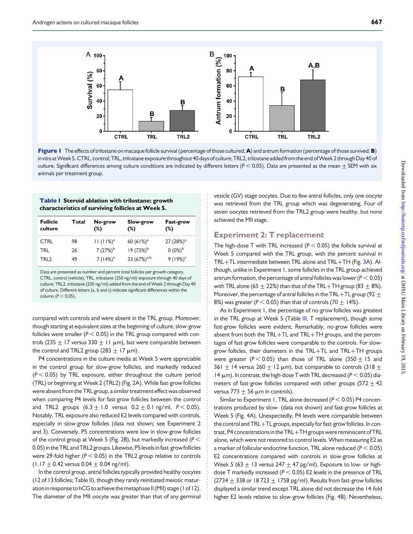<span id="page-3-0"></span>

Figure 1 The effects of trilostane on macaque follicle survival (percentage of those cultured; A) and antrum formation (percentage of those survived; B) in vitro at Week 5. CTRL, control; TRL, trilostane exposure throughout 40 days of culture; TRL2, trilostane added from the end of Week 2 through Day 40 of culture. Significant differences among culture conditions are indicated by different letters ( $P < 0.05$ ). Data are presented as the mean  $\pm$  SEM with six animals per treatment group.

#### Table I Steroid ablation with trilostane: growth characteristics of surviving follicles at Week 5.

| <b>Follicle</b><br>culture | Total | No-grow<br>(%) | Slow-grow<br>(%) | Fast-grow<br>$(\%)$ |
|----------------------------|-------|----------------|------------------|---------------------|
| <b>CTRL</b>                | 98    | $11 (11%)^a$   | 60 $(61\%)^a$    | 27 $(28%)^a$        |
| TRI                        | 26    | $7(27%)^b$     | $19(73%)^b$      | $0(0\%)^b$          |
| TRI 2                      | 49    | 7 $(14%)^a$    | 33 $(67%)^{a,b}$ | $9(19%)^c$          |

Data are presented as number and percent total follicles per growth category. CTRL, control (vehicle); TRL, trilostane (250 ng/ml) exposure through 40 days of culture; TRL2, trilostane (250 ng/ml) added from the end of Week 2 through Day 40 of culture. Different letters (a, b and c) indicate significant differences within the column ( $P < 0.05$ ).

compared with controls and were absent in the TRL group. Moreover, though starting at equivalent sizes at the beginning of culture, slow-grow follicles were smaller ( $P < 0.05$ ) in the TRL group compared with controls (235  $\pm$  17 versus 330  $\pm$  11  $\mu$ m), but were comparable between the control and TRL2 group (283  $\pm$  17  $\mu$ m).

P4 concentrations in the culture media at Week 5 were appreciable in the control group for slow-grow follicles, and markedly reduced  $(P < 0.05)$  by TRL exposure, either throughout the culture period (TRL) or beginning at Week 2 (TRL2) (Fig. [2](#page-4-0)A). While fast-grow follicles were absent from the TRL group, a similar treatment effect was observed when comparing P4 levels for fast-grow follicles between the control and TRL2 groups  $(6.3 \pm 1.0 \text{ versus } 0.2 \pm 0.1 \text{ ng/ml}, P < 0.05)$ . Notably, TRL exposure also reduced E2 levels compared with controls, especially in slow-grow follicles (data not shown; see Experiment 2 and 3). Conversely, P5 concentrations were low in slow-grow follicles of the control group at Week 5 (Fig. [2B](#page-4-0)), but markedly increased ( $P <$ 0.05) in the TRL and TRL2 groups. Likewise, P5 levels in fast-grow follicles were 29-fold higher ( $P < 0.05$ ) in the TRL2 group relative to controls  $(1.17 \pm 0.42$  versus 0.04  $\pm$  0.04 ng/ml).

In the control group, antral follicles typically provided healthy oocytes (12 of 13 follicles; Table [II\)](#page-4-0), though they rarely reinitiated meiotic maturation in response to hCG to achieve the metaphase II (MII) stage (1 of 12). The diameter of the MII oocyte was greater than that of any germinal vesicle (GV)-stage oocytes. Due to few antral follicles, only one oocyte was retrieved from the TRL group which was degenerating. Four of seven oocytes retrieved from the TRL2 group were healthy, but none achieved the MII stage.

### Experiment 2: T replacement

The high-dose T with TRL increased ( $P < 0.05$ ) the follicle survival at Week 5 compared with the TRL group, with the percent survival in TRL+TL intermediate between TRL alone and TRL+TH (Fig. [3](#page-5-0)A). Although, unlike in Experiment 1, some follicles in the TRL group achieved antrum formation, the percentage of antral follicles was lower ( $P < 0.05$ ) with TRL alone (65  $\pm$  22%) than that of the TRL+TH group (83  $\pm$  8%). Moreover, the percentage of antral follicles in the TRL+TL group (92  $\pm$ 8%) was greater ( $P < 0.05$ ) than that of controls (70  $\pm$  14%).

As in Experiment 1, the percentage of no-grow follicles was greatest in the TRL group at Week 5 (Table [III](#page-5-0), T replacement), though some fast-grow follicles were evident. Remarkably, no-grow follicles were absent from both the TRL+TL and TRL+TH groups, and the percentages of fast-grow follicles were comparable to the controls. For slowgrow follicles, their diameters in the TRL+TL and TRL+TH groups were greater ( $P < 0.05$ ) than those of TRL alone (350  $\pm$  15 and 361  $\pm$  14 versus 260  $\pm$  12  $\mu$ m), but comparable to controls (318  $\pm$ 14  $\mu$ m). In contrast, the high-dose T with TRL decreased ( $P < 0.05$ ) diameters of fast-grow follicles compared with other groups (572  $\pm$  42 versus  $773+56$  µm in controls).

Similar to Experiment 1, TRL alone decreased ( $P < 0.05$ ) P4 concentrations produced by slow- (data not shown) and fast-grow follicles at Week 5 (Fig. [4](#page-6-0)A). Unexpectedly, P4 levels were comparable between the control and TRL+TL groups, especially for fast-grow follicles. In contrast, P4 concentrations in the TRL+TH groups were reminiscent of TRL alone, which were not restored to control levels. When measuring E2 as a marker of follicular endocrine function, TRL alone reduced ( $P < 0.05$ ) E2 concentrations compared with controls in slow-grow follicles at Week 5 (63  $\pm$  13 versus 247  $\pm$  47 pg/ml). Exposure to low- or highdose T markedly increased ( $P < 0.05$ ) E2 levels in the presence of TRL  $(2734 + 338 \text{ or } 18723 + 1758 \text{ pg/ml})$ . Results from fast-grow follicles displayed a similar trend except TRL alone did not decrease the 14-fold higher E2 levels relative to slow-grow follicles (Fig. [4](#page-6-0)B). Nevertheless,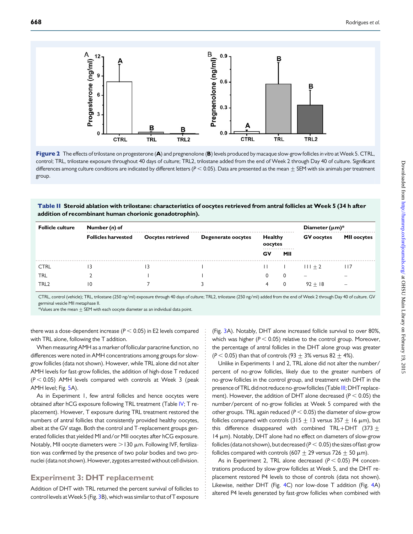<span id="page-4-0"></span>



### Table II Steroid ablation with trilostane: characteristics of oocytes retrieved from antral follicles at Week 5 (34 h after addition of recombinant human chorionic gonadotrophin).

| <b>Follicle culture</b> | Number (n) of              |                   |                    |                    |          |                          | Diameter $(\mu m)^*$     |  |
|-------------------------|----------------------------|-------------------|--------------------|--------------------|----------|--------------------------|--------------------------|--|
|                         | <b>Follicles harvested</b> | Oocytes retrieved | Degenerate oocytes | Healthy<br>oocytes |          | <b>GV</b> oocytes        | <b>MII oocytes</b>       |  |
|                         |                            |                   |                    | GV                 | .<br>MII |                          |                          |  |
| <b>CTRL</b>             |                            |                   |                    |                    |          | $111 + 2$                | l I /                    |  |
| TRL                     |                            |                   |                    |                    |          | $\overline{\phantom{a}}$ | $\overline{\phantom{a}}$ |  |
| TRL <sub>2</sub>        | ۱0                         |                   |                    |                    |          | $92 + 18$                | $\overline{\phantom{a}}$ |  |

CTRL, control (vehicle); TRL, trilostane (250 ng/ml) exposure through 40 days of culture; TRL2, trilostane (250 ng/ml) added from the end of Week 2 through Day 40 of culture. GV germinal vesicle MII metaphase II.

 $*$ Values are the mean  $\pm$  SEM with each oocyte diameter as an individual data point.

there was a dose-dependent increase ( $P < 0.05$ ) in E2 levels compared with TRL alone, following the T addition.

When measuring AMH as a marker of follicular paracrine function, no differences were noted in AMH concentrations among groups for slowgrow follicles (data not shown). However, while TRL alone did not alter AMH levels for fast-grow follicles, the addition of high-dose T reduced  $(P < 0.05)$  AMH levels compared with controls at Week 3 (peak AMH level; Fig. [5](#page-6-0)A).

As in Experiment 1, few antral follicles and hence oocytes were obtained after hCG exposure following TRL treatment (Table [IV;](#page-7-0) T replacement). However, T exposure during TRL treatment restored the numbers of antral follicles that consistently provided healthy oocytes, albeit at the GV stage. Both the control and T-replacement groups generated follicles that yielded MI and/or MII oocytes after hCG exposure. Notably, MII oocyte diameters were  $>$  130  $\mu$ m. Following IVF, fertilization was confirmed by the presence of two polar bodies and two pronuclei (data not shown). However, zygotes arrested without cell division.

### Experiment 3: DHT replacement

Addition of DHT with TRL returned the percent survival of follicles to control levels at Week 5 (Fig. [3](#page-5-0)B), which was similar to that of T exposure (Fig. [3A](#page-5-0)). Notably, DHT alone increased follicle survival to over 80%, which was higher ( $P < 0.05$ ) relative to the control group. Moreover, the percentage of antral follicles in the DHT alone group was greater  $(P < 0.05)$  than that of controls (93 + 3% versus 82 + 4%).

Unlike in Experiments 1 and 2, TRL alone did not alter the number/ percent of no-grow follicles, likely due to the greater numbers of no-grow follicles in the control group, and treatment with DHT in the presence of TRL did not reduce no-grow follicles (Table [III](#page-5-0); DHT replacement). However, the addition of DHT alone decreased ( $P < 0.05$ ) the number/percent of no-grow follicles at Week 5 compared with the other groups. TRL again reduced ( $P < 0.05$ ) the diameter of slow-grow follicles compared with controls (315  $\pm$  13 versus 357  $\pm$  16  $\mu$ m), but this difference disappeared with combined TRL+DHT (373 + 14  $\mu$ m). Notably, DHT alone had no effect on diameters of slow-grow follicles (data not shown), but decreased ( $P < 0.05$ ) the sizes of fast-grow follicles compared with controls (607  $\pm$  29 versus 726  $\pm$  50  $\mu$ m).

As in Experiment 2, TRL alone decreased ( $P < 0.05$ ) P4 concentrations produced by slow-grow follicles at Week 5, and the DHT replacement restored P4 levels to those of controls (data not shown). Likewise, neither DHT (Fig. [4C](#page-6-0)) nor low-dose T addition (Fig. [4](#page-6-0)A) altered P4 levels generated by fast-grow follicles when combined with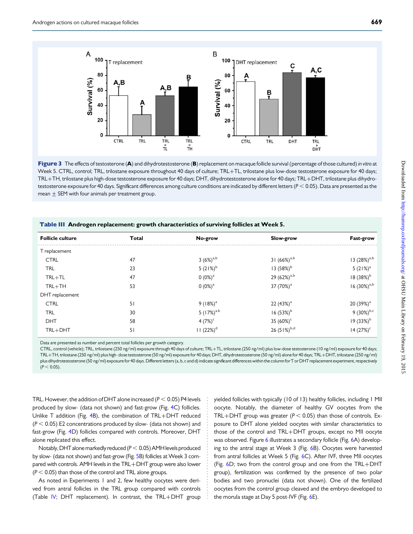<span id="page-5-0"></span>

Figure 3 The effects of testosterone (A) and dihydrotestosterone (B) replacement on macaque follicle survival (percentage of those cultured) in vitro at Week 5. CTRL, control; TRL, trilostane exposure throughout 40 days of culture; TRL+TL, trilostane plus low-dose testosterone exposure for 40 days; TRL+TH, trilostane plus high-dose testosterone exposure for 40 days; DHT, dihydrotestosterone alone for 40 days; TRL+DHT, trilostane plus dihydrotestosterone exposure for 40 days. Significant differences among culture conditions are indicated by different letters ( $P < 0.05$ ). Data are presented as the mean  $\pm$  SEM with four animals per treatment group.

| <b>Follicle culture</b> | Total | No-grow         | Slow-grow             | Fast-grow               |  |  |
|-------------------------|-------|-----------------|-----------------------|-------------------------|--|--|
| T replacement           |       |                 |                       |                         |  |  |
| <b>CTRL</b>             | 47    | $3(6%)^{a,b}$   | 31 $(66\%)^{a,b}$     | 13 $(28%)^{a,b}$        |  |  |
| <b>TRL</b>              | 23    | 5 $(21%)^b$     | 13 $(58%)^b$          | $5(21%)^a$              |  |  |
| $TRL + TL$              | 47    | 0 $(0\%)^a$     | 29 $(62\%)^{a,b}$     | $18(38%)^b$             |  |  |
| $TRL + TH$              | 53    | $0(0\%)^a$      | 37 (70%) <sup>a</sup> | $16(30\%)^{a,b}$        |  |  |
| DHT replacement         |       |                 |                       |                         |  |  |
| <b>CTRL</b>             | 51    | $9(18%)^a$      | 22 $(43%)^a$          | 20 $(39%)^a$            |  |  |
| <b>TRL</b>              | 30    | 5 $(17%)^{a,b}$ | $16(53%)^b$           | 9 $(30\%)^{\text{b,c}}$ |  |  |
| <b>DHT</b>              | 58    | 4 $(7%)^c$      | 35 $(60\%)^c$         | 19 (33%) <sup>b</sup>   |  |  |
| $TRL + DHT$             | 51    | $11 (22%)^d$    | 26 $(51\%)^{b,d}$     | $14 (27%)^c$            |  |  |

Table III Androgen replacement: growth characteristics of surviving follicles at Week 5.

Data are presented as number and percent total follicles per growth category.

CTRL, control (vehicle); TRL, trilostane (250 ng/ml) exposure through 40 days of culture; TRL+TL, trilostane (250 ng/ml) plus low-dose testosterone (10 ng/ml) exposure for 40 days; TRL+TH, trilostane (250 ng/ml) plus high- dose testosterone (50 ng/ml) exposure for 40 days; DHT, dihydrotestosterone (50 ng/ml) alone for 40 days; TRL+DHT, trilostane (250 ng/ml) plus dihydrotestosterone (50 ng/ml) exposure for 40 days. Different letters (a, b, c and d) indicate significant differences within the column for T or DHT replacement experiment, respectively  $(P < 0.05)$ .

TRL. However, the addition of DHT alone increased ( $P < 0.05$ ) P4 levels produced by slow- (data not shown) and fast-grow (Fig. [4C](#page-6-0)) follicles. Unlike T addition (Fig. [4B](#page-6-0)), the combination of TRL+DHT reduced  $(P < 0.05)$  E2 concentrations produced by slow- (data not shown) and fast-grow (Fig. [4](#page-6-0)D) follicles compared with controls. Moreover, DHT alone replicated this effect.

Notably, DHT alone markedly reduced ( $P < 0.05$ ) AMH levels produced by slow- (data not shown) and fast-grow (Fig. [5](#page-6-0)B) follicles at Week 3 compared with controls. AMH levels in the TRL+DHT group were also lower  $(P < 0.05)$  than those of the control and TRL alone groups.

As noted in Experiments 1 and 2, few healthy oocytes were derived from antral follicles in the TRL group compared with controls (Table [IV](#page-7-0); DHT replacement). In contrast, the TRL+DHT group yielded follicles with typically (10 of 13) healthy follicles, including 1 MII oocyte. Notably, the diameter of healthy GV oocytes from the TRL+DHT group was greater ( $P < 0.05$ ) than those of controls. Exposure to DHT alone yielded oocytes with similar characteristics to those of the control and TRL+DHT groups, except no MII oocyte was observed. Figure [6](#page-8-0) illustrates a secondary follicle (Fig. [6A](#page-8-0)) developing to the antral stage at Week 3 (Fig. [6B](#page-8-0)). Oocytes were harvested from antral follicles at Week 5 (Fig. [6C](#page-8-0)). After IVF, three MII oocytes (Fig. [6D](#page-8-0); two from the control group and one from the TRL+DHT group), fertilization was confirmed by the presence of two polar bodies and two pronuclei (data not shown). One of the fertilized oocytes from the control group cleaved and the embryo developed to the morula stage at Day 5 post-IVF (Fig. [6](#page-8-0)E).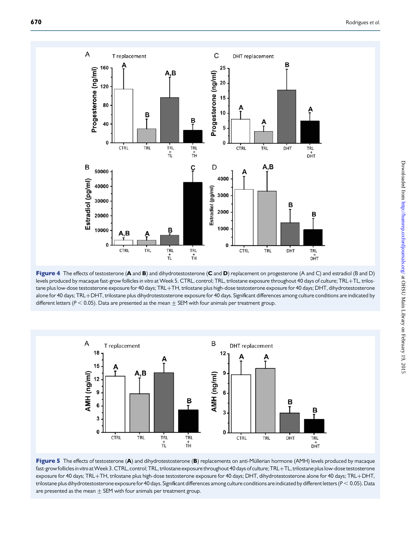<span id="page-6-0"></span>

Figure 4 The effects of testosterone (A and B) and dihydrotestosterone (C and D) replacement on progesterone (A and C) and estradiol (B and D) levels produced by macaque fast-grow follicles in vitro at Week 5. CTRL, control; TRL, trilostane exposure throughout 40 days of culture; TRL+TL, trilostane plus low-dose testosterone exposure for 40 days; TRL+TH, trilostane plus high-dose testosterone exposure for 40 days; DHT, dihydrotestosterone alone for 40 days; TRL+DHT, trilostane plus dihydrotestosterone exposure for 40 days. Significant differences among culture conditions are indicated by different letters ( $P < 0.05$ ). Data are presented as the mean  $\pm$  SEM with four animals per treatment group.



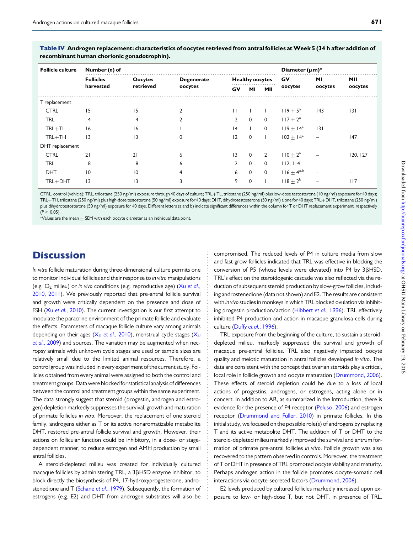| Number (n) of    |           |                   |                        |              |             | Diameter $(\mu m)^*$ |         |          |
|------------------|-----------|-------------------|------------------------|--------------|-------------|----------------------|---------|----------|
| <b>Follicles</b> | Oocytes   | <b>Degenerate</b> | <b>Healthy oocytes</b> |              | GV          | MI                   | MII     |          |
| harvested        | retrieved | oocytes           | GV                     | MI           | MII         | oocytes              | oocytes | oocytes  |
|                  |           |                   |                        |              |             |                      |         |          |
| 15               | 15        |                   | $\mathbf{H}$           |              |             | $119 + 5^{\circ}$    | 43      | 3        |
| 4                |           |                   | $\mathbf{2}$           | $\mathbf{0}$ | $\mathbf 0$ | $117 + 2^a$          |         |          |
| 16               | 16        |                   | 4                      |              | $\mathbf 0$ | $119 \pm 14^{\circ}$ | 3       |          |
| 3                | 3         | 0                 | 2                      | $\mathbf{0}$ |             | $102 + 14^a$         | -       | 147      |
|                  |           |                   |                        |              |             |                      |         |          |
| 21               | 21        | 6                 | 3                      | $\mathbf{0}$ | 2           | $110 + 2^a$          |         | 120, 127 |
| 8                | 8         | 6                 | $\mathbf{2}$           | $\mathbf{0}$ | $\mathbf 0$ | 112, 114             |         |          |
| 10               | 10        |                   | 6                      | $\Omega$     | $\mathbf 0$ | $116 + 4^{a,b}$      |         |          |
| 3                | 3         | 3                 | 9                      | $\Omega$     |             | $118 + 2^{b}$        |         | 117      |
|                  |           |                   |                        |              |             |                      |         |          |

<span id="page-7-0"></span>Table IV Androgen replacement: characteristics of oocytes retrieved from antral follicles at Week 5 (34 h after addition of recombinant human chorionic gonadotrophin).

CTRL, control (vehicle); TRL, trilostane (250 ng/ml) exposure through 40 days of culture; TRL+TL, trilostane (250 ng/ml) plus low-dose testosterone (10 ng/ml) exposure for 40 days; TRL+TH, trilostane (250 ng/ml) plus high-dose testosterone (50 ng/ml) exposure for 40 days; DHT, dihydrotestosterone (50 ng/ml) alone for 40 days; TRL+DHT, trilostane (250 ng/ml) plus dihydrotestosterone (50 ng/ml) exposure for 40 days. Different letters (a and b) indicate significant differences within the column for T or DHT replacement experiment, respectively  $(P < 0.05)$ .

 $*$ Values are the mean  $\pm$  SEM with each oocyte diameter as an individual data point.

### **Discussion**

In vitro follicle maturation during three-dimensional culture permits one to monitor individual follicles and their response to in vitro manipulations (e.g.  $O_2$  milieu) or in vivo conditions (e.g. reproductive age) (Xu [et al.](#page-10-0), [2010](#page-10-0), [2011\)](#page-10-0). We previously reported that pre-antral follicle survival and growth were critically dependent on the presence and dose of FSH (Xu et al.[, 2010](#page-10-0)). The current investigation is our first attempt to modulate the paracrine environment of the primate follicle and evaluate the effects. Parameters of macaque follicle culture vary among animals depending on their ages (Xu et al.[, 2010\)](#page-10-0), menstrual cycle stages ([Xu](#page-10-0) et al.[, 2009\)](#page-10-0) and sources. The variation may be augmented when necropsy animals with unknown cycle stages are used or sample sizes are relatively small due to the limited animal resources. Therefore, a control group was included in every experiment of the current study. Follicles obtained from every animal were assigned to both the control and treatment groups. Data were blocked for statistical analysis of differences between the control and treatment groups within the same experiment. The data strongly suggest that steroid (progestin, androgen and estrogen) depletion markedly suppresses the survival, growth and maturation of primate follicles in vitro. Moreover, the replacement of one steroid family, androgens either as T or its active nonaromatizable metabolite DHT, restored pre-antral follicle survival and growth. However, their actions on follicular function could be inhibitory, in a dose- or stagedependent manner, to reduce estrogen and AMH production by small antral follicles.

A steroid-depleted milieu was created for individually cultured macaque follicles by administering TRL, a 3BHSD enzyme inhibitor, to block directly the biosynthesis of P4, 17-hydroxyprogesterone, andro-stenedione and T [\(Schane](#page-10-0) et al., 1979). Subsequently, the formation of estrogens (e.g. E2) and DHT from androgen substrates will also be

compromised. The reduced levels of P4 in culture media from slow and fast-grow follicles indicated that TRL was effective in blocking the conversion of P5 (whose levels were elevated) into P4 by 3BHSD. TRL's effect on the steroidogenic cascade was also reflected via the reduction of subsequent steroid production by slow-grow follicles, including androstenedione (data not shown) and E2. The results are consistent with in vivo studies in monkeys in which TRL blocked ovulation via inhibiting progestin production/action [\(Hibbert](#page-10-0) et al., 1996). TRL effectively inhibited P4 production and action in macaque granulosa cells during culture (Duffy et al.[, 1996](#page-9-0)).

TRL exposure from the beginning of the culture, to sustain a steroiddepleted milieu, markedly suppressed the survival and growth of macaque pre-antral follicles. TRL also negatively impacted oocyte quality and meiotic maturation in antral follicles developed in vitro. The data are consistent with the concept that ovarian steroids play a critical, local role in follicle growth and oocyte maturation ([Drummond, 2006\)](#page-9-0). These effects of steroid depletion could be due to a loss of local actions of progestins, androgens, or estrogens, acting alone or in concert. In addition to AR, as summarized in the Introduction, there is evidence for the presence of P4 receptor ([Peluso, 2006](#page-10-0)) and estrogen receptor ([Drummond and Fuller, 2010\)](#page-9-0) in primate follicles. In this initial study, we focused on the possible role(s) of androgens by replacing T and its active metabolite DHT. The addition of T or DHT to the steroid-depleted milieu markedly improved the survival and antrum formation of primate pre-antral follicles in vitro. Follicle growth was also recovered to the pattern observed in controls. Moreover, the treatment of T or DHT in presence of TRL promoted oocyte viability and maturity. Perhaps androgen action in the follicle promotes oocyte-somatic cell interactions via oocyte-secreted factors ([Drummond, 2006\)](#page-9-0).

E2 levels produced by cultured follicles markedly increased upon exposure to low- or high-dose T, but not DHT, in presence of TRL.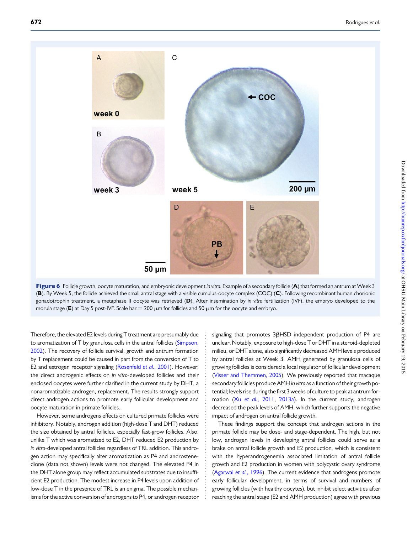<span id="page-8-0"></span>

Figure 6 Follicle growth, oocyte maturation, and embryonic development in vitro. Example of a secondary follicle (A) that formed an antrum at Week 3 (B). By Week 5, the follicle achieved the small antral stage with a visible cumulus-oocyte complex (COC) (C). Following recombinant human chorionic gonadotrophin treatment, a metaphase II oocyte was retrieved (D). After insemination by in vitro fertilization (IVF), the embryo developed to the morula stage (E) at Day 5 post-IVF. Scale bar = 200  $\mu$ m for follicles and 50  $\mu$ m for the oocyte and embryo.

Therefore, the elevated E2 levels during T treatment are presumably due to aromatization of T by granulosa cells in the antral follicles ([Simpson,](#page-10-0) [2002](#page-10-0)). The recovery of follicle survival, growth and antrum formation by T replacement could be caused in part from the conversion of T to E2 and estrogen receptor signaling [\(Rosenfeld](#page-10-0) et al., 2001). However, the direct androgenic effects on in vitro-developed follicles and their enclosed oocytes were further clarified in the current study by DHT, a nonaromatizable androgen, replacement. The results strongly support direct androgen actions to promote early follicular development and oocyte maturation in primate follicles.

However, some androgens effects on cultured primate follicles were inhibitory. Notably, androgen addition (high-dose T and DHT) reduced the size obtained by antral follicles, especially fast-grow follicles. Also, unlike T which was aromatized to E2, DHT reduced E2 production by in vitro-developed antral follicles regardless of TRL addition. This androgen action may specifically alter aromatization as P4 and androstenedione (data not shown) levels were not changed. The elevated P4 in the DHT alone group may reflect accumulated substrates due to insufficient E2 production. The modest increase in P4 levels upon addition of low-dose T in the presence of TRL is an enigma. The possible mechanisms for the active conversion of androgens to P4, or androgen receptor

signaling that promotes 3ßHSD independent production of P4 are unclear. Notably, exposure to high-dose T or DHT in a steroid-depleted milieu, or DHT alone, also significantly decreased AMH levels produced by antral follicles at Week 3. AMH generated by granulosa cells of growing follicles is considered a local regulator of follicular development ([Visser and Themmen, 2005](#page-10-0)). We previously reported that macaque secondary follicles produce AMH in vitro as a function of their growth potential; levels rise during the first 3 weeks of culture to peak at antrum formation (Xu et al.[, 2011](#page-10-0), [2013a](#page-10-0)). In the current study, androgen decreased the peak levels of AMH, which further supports the negative impact of androgen on antral follicle growth.

These findings support the concept that androgen actions in the primate follicle may be dose- and stage-dependent. The high, but not low, androgen levels in developing antral follicles could serve as a brake on antral follicle growth and E2 production, which is consistent with the hyperandrogenemia associated limitation of antral follicle growth and E2 production in women with polycystic ovary syndrome ([Agarwal](#page-9-0) et al., 1996). The current evidence that androgens promote early follicular development, in terms of survival and numbers of growing follicles (with healthy oocytes), but inhibit select activities after reaching the antral stage (E2 and AMH production) agree with previous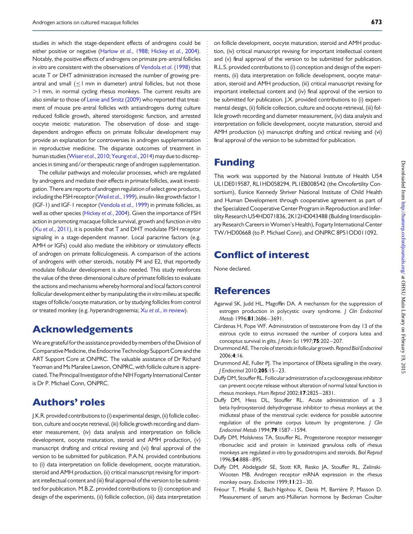<span id="page-9-0"></span>studies in which the stage-dependent effects of androgens could be either positive or negative ([Harlow](#page-10-0) et al., 1988; [Hickey](#page-10-0) et al., 2004). Notably, the positive effects of androgens on primate pre-antral follicles in vitro are consistent with the observations of [Vendola](#page-10-0) et al. (1998) that acute T or DHT administration increased the number of growing preantral and small (≤1 mm in diameter) antral follicles, but not those  $>1$  mm, in normal cycling rhesus monkeys. The current results are also similar to those of [Lenie and Smitz \(2009\)](#page-10-0) who reported that treatment of mouse pre-antral follicles with antiandrogens during culture reduced follicle growth, altered steroidogenic function, and arrested oocyte meiotic maturation. The observation of dose- and stagedependent androgen effects on primate follicular development may provide an explanation for controversies in androgen supplementation in reproductive medicine. The disparate outcomes of treatment in human studies [\(Wiser](#page-10-0) et al., 2010; [Yeung](#page-10-0) et al., 2014) may due to discrepancies in timing and/or therapeutic range of androgen supplementation.

The cellular pathways and molecular processes, which are regulated by androgens and mediate their effects in primate follicles, await investigation. There are reports of androgen regulation of select gene products, including the FSH receptor (Weil et al.[, 1999](#page-10-0)), insulin-like growth factor 1 (IGF-1) and IGF-1 receptor ([Vendola](#page-10-0) et al., 1999) in primate follicles, as well as other species ([Hickey](#page-10-0) et al., 2004). Given the importance of FSH action in promoting macaque follicle survival, growth and function in vitro (Xu et al.[, 2011\)](#page-10-0), it is possible that T and DHT modulate FSH receptor signaling in a stage-dependent manner. Local paracrine factors (e.g. AMH or IGFs) could also mediate the inhibitory or stimulatory effects of androgen on primate folliculogenesis. A comparison of the actions of androgens with other steroids, notably P4 and E2, that reportedly modulate follicular development is also needed. This study reinforces the value of the three-dimensional culture of primate follicles to evaluate the actions and mechanisms whereby hormonal and local factors control follicular development either by manipulating the in vitro milieu at specific stages of follicle/oocyte maturation, or by studying follicles from control or treated monkey (e.g. hyperandrogenemia; Xu et al.[, in review](#page-10-0)).

### Acknowledgements

We are grateful for the assistance provided by members of the Division of Comparative Medicine, the Endocrine Technology SupportCore and the ART Support Core at ONPRC. The valuable assistance of Dr Richard Yeoman and Ms Maralee Lawson, ONPRC, with follicle culture is appreciated. The Principal Investigator of the NIH Fogarty InternationalCenter is Dr P. Michael Conn, ONPRC.

### Authors' roles

J.K.R. provided contributions to (i) experimental design, (ii) follicle collection, culture and oocyte retrieval, (iii) follicle growth recording and diameter measurement, (iv) data analysis and interpretation on follicle development, oocyte maturation, steroid and AMH production, (v) manuscript drafting and critical revising and (vi) final approval of the version to be submitted for publication. P.A.N. provided contributions to (i) data interpretation on follicle development, oocyte maturation, steroid and AMH production, (ii) critical manuscript revising for important intellectual content and (iii) final approval of the version to be submitted for publication. M.B.Z. provided contributions to (i) conception and design of the experiments, (ii) follicle collection, (iii) data interpretation

on follicle development, oocyte maturation, steroid and AMH production, (iv) critical manuscript revising for important intellectual content and (v) final approval of the version to be submitted for publication. R.L.S. provided contributions to (i) conception and design of the experiments, (ii) data interpretation on follicle development, oocyte maturation, steroid and AMH production, (iii) critical manuscript revising for important intellectual content and (iv) final approval of the version to be submitted for publication. J.X. provided contributions to (i) experimental design, (ii) follicle collection, culture and oocyte retrieval, (iii) follicle growth recording and diameter measurement, (iv) data analysis and interpretation on follicle development, oocyte maturation, steroid and AMH production (v) manuscript drafting and critical revising and (vi) final approval of the version to be submitted for publication.

# Funding

This work was supported by the National Institute of Health U54 UL1DE019587, RL1HD058294, PL1EB008542 (the Oncofertility Consortium), Eunice Kennedy Shriver National Institute of Child Health and Human Development through cooperative agreement as part of the Specialized Cooperative Center Program in Reproduction and Infertility Research U54HD071836, 2K12HD043488 (Building Interdisciplinary Research Careers in Women's Health), Fogarty International Center TW/HD00668 (to P. Michael Conn), and ONPRC 8P51OD011092.

# Conflict of interest

None declared.

### **References**

- Agarwal SK, Judd HL, Magoffin DA. A mechanism for the suppression of estrogen production in polycystic ovary syndrome. J Clin Endocrinol Metab 1996;81:3686-3691.
- Cárdenas H, Pope WF. Administration of testosterone from day 13 of the estrous cycle to estrus increased the number of corpora lutea and conceptus survival in gilts. J Anim Sci 1997;75:202-207.
- Drummond AE. The role of steroids in follicular growth. Reprod Biol Endocrinol 2006;4:16.
- Drummond AE, Fuller PJ. The importance of ERbeta signalling in the ovary. J Endocrinol 2010;205:15 – 23.
- Duffy DM, Stouffer RL. Follicular administration of a cyclooxygenase inhibitor can prevent oocyte release without alteration of normal luteal function in rhesus monkeys. Hum Reprod 2002;17:2825 – 2831.
- Duffy DM, Hess DL, Stouffer RL. Acute administration of a 3 beta-hydroxysteroid dehydrogenase inhibitor to rhesus monkeys at the midluteal phase of the menstrual cycle: evidence for possible autocrine regulation of the primate corpus luteum by progesterone. J Clin Endocrinol Metab 1994;79:1587 – 1594.
- Duffy DM, Molskness TA, Stouffer RL. Progesterone receptor messenger ribonucleic acid and protein in luteinized granulosa cells of rhesus monkeys are regulated in vitro by gonadotropins and steroids. Biol Reprod 1996;54:888 – 895.
- Duffy DM, Abdelgadir SE, Stott KR, Resko JA, Stouffer RL, Zelinski-Wooten MB. Androgen receptor mRNA expression in the rhesus monkey ovary. Endocrine 1999; I I:23-30.
- Fréour T, Mirallié S, Bach-Ngohou K, Denis M, Barrière P, Masson D. Measurement of serum anti-Müllerian hormone by Beckman Coulter